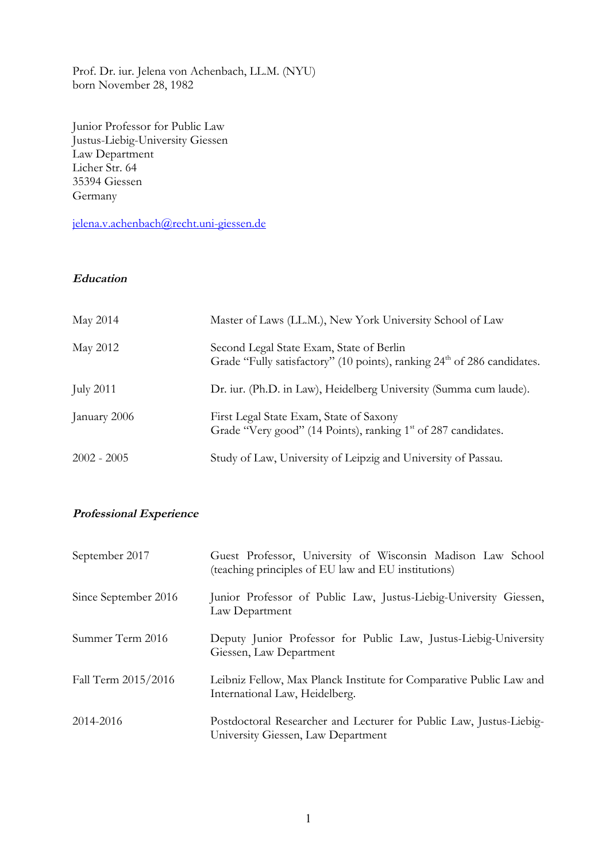Prof. Dr. iur. Jelena von Achenbach, LL.M. (NYU) born November 28, 1982

Junior Professor for Public Law Justus-Liebig-University Giessen Law Department Licher Str. 64 35394 Giessen Germany

jelena.v.achenbach@recht.uni-giessen.de

## **Education**

| May 2014         | Master of Laws (LL.M.), New York University School of Law                                                                       |
|------------------|---------------------------------------------------------------------------------------------------------------------------------|
| May 2012         | Second Legal State Exam, State of Berlin<br>Grade "Fully satisfactory" (10 points), ranking 24 <sup>th</sup> of 286 candidates. |
| <b>July 2011</b> | Dr. iur. (Ph.D. in Law), Heidelberg University (Summa cum laude).                                                               |
| January 2006     | First Legal State Exam, State of Saxony<br>Grade "Very good" (14 Points), ranking 1 <sup>st</sup> of 287 candidates.            |
| $2002 - 2005$    | Study of Law, University of Leipzig and University of Passau.                                                                   |

## **Professional Experience**

| September 2017       | Guest Professor, University of Wisconsin Madison Law School<br>(teaching principles of EU law and EU institutions) |
|----------------------|--------------------------------------------------------------------------------------------------------------------|
| Since September 2016 | Junior Professor of Public Law, Justus-Liebig-University Giessen,<br>Law Department                                |
| Summer Term 2016     | Deputy Junior Professor for Public Law, Justus-Liebig-University<br>Giessen, Law Department                        |
| Fall Term 2015/2016  | Leibniz Fellow, Max Planck Institute for Comparative Public Law and<br>International Law, Heidelberg.              |
| 2014-2016            | Postdoctoral Researcher and Lecturer for Public Law, Justus-Liebig-<br>University Giessen, Law Department          |